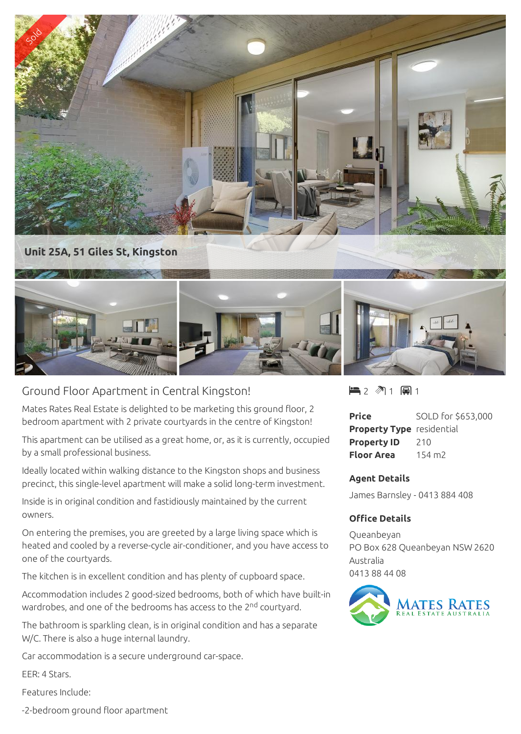

## Ground Floor Apartment in Central Kingston!

Mates Rates Real Estate is delighted to be marketing this ground floor, 2 bedroom apartment with 2 private courtyards in the centre of Kingston!

This apartment can be utilised as a great home, or, as it is currently, occupied by a small professional business.

Ideally located within walking distance to the Kingston shops and business precinct, this single-level apartment will make a solid long-term investment.

Inside is in original condition and fastidiously maintained by the current owners.

On entering the premises, you are greeted by a large living space which is heated and cooled by a reverse-cycle air-conditioner, and you have access to one of the courtyards.

The kitchen is in excellent condition and has plenty of cupboard space.

Accommodation includes 2 good-sized bedrooms, both of which have built-in wardrobes, and one of the bedrooms has access to the 2<sup>nd</sup> courtyard.

The bathroom is sparkling clean, is in original condition and has a separate W/C. There is also a huge internal laundry.

Car accommodation is a secure underground car-space.

EER: 4 Stars.

Features Include:

-2-bedroom ground floor apartment

 $\blacksquare$  2  $\blacksquare$  1  $\blacksquare$  1

| <b>Price</b>                     | SOLD for \$653,000 |
|----------------------------------|--------------------|
| <b>Property Type</b> residential |                    |
| <b>Property ID</b>               | 210                |
| <b>Floor Area</b>                | $154 \text{ m}$    |

## **Agent Details**

James Barnsley - 0413 884 408

## **Office Details**

Queanbeyan PO Box 628 Queanbeyan NSW 2620 Australia 0413 88 44 08